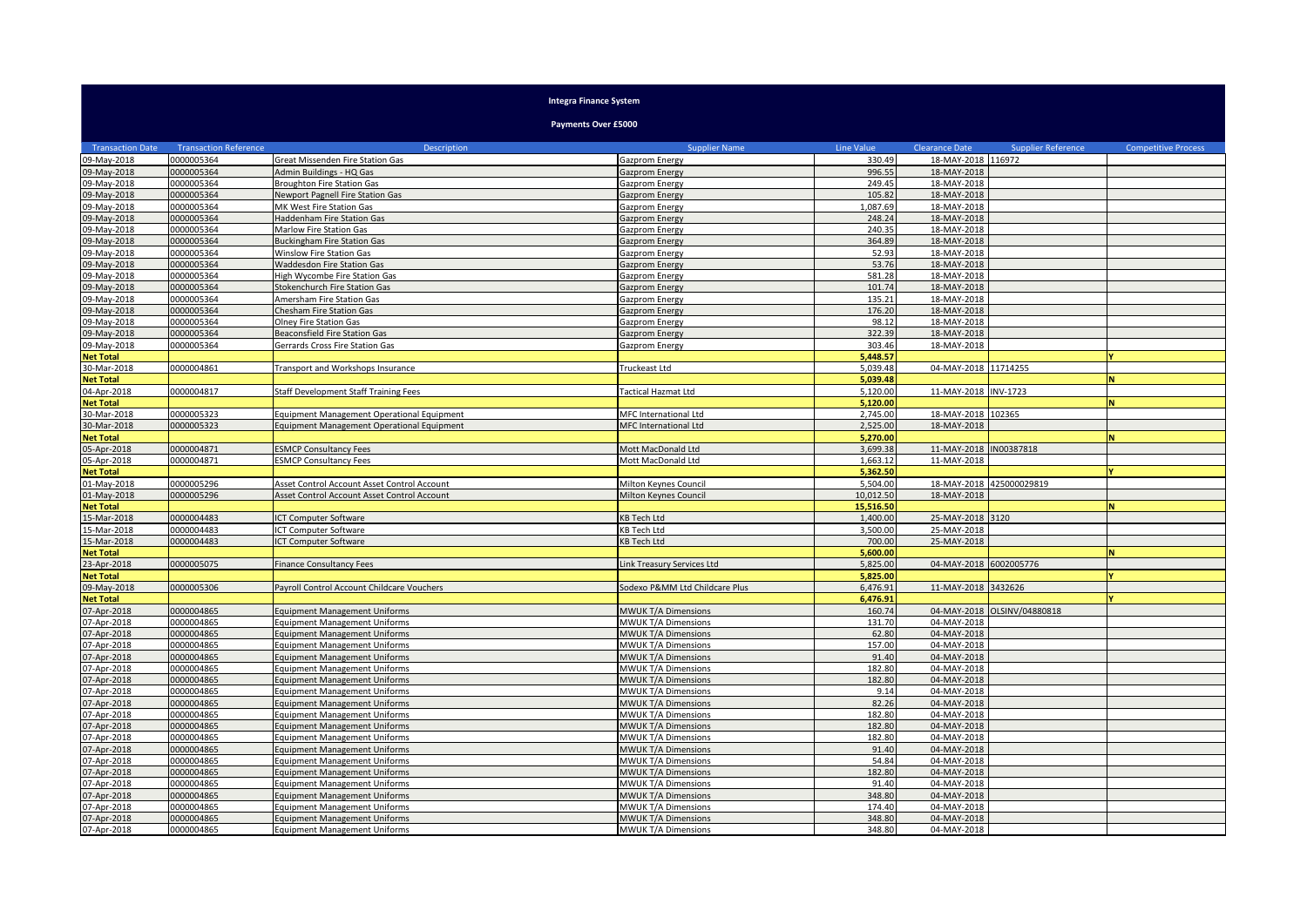## **Integra Finance System**

**Payments Over £5000**

| <b>Transaction Date</b> | <b>Transaction Reference</b> | Description                                       | <b>Supplier Name</b>           | Line Value | <b>Clearance Date</b>  | <b>Supplier Reference</b> | <b>Competitive Process</b> |
|-------------------------|------------------------------|---------------------------------------------------|--------------------------------|------------|------------------------|---------------------------|----------------------------|
| 09-May-2018             | 0000005364                   | Great Missenden Fire Station Gas                  | Gazprom Energy                 | 330.49     | 18-MAY-2018 116972     |                           |                            |
| 09-May-2018             | 0000005364                   | Admin Buildings - HQ Gas                          | Gazprom Energy                 | 996.55     | 18-MAY-2018            |                           |                            |
| 09-May-2018             | 0000005364                   | <b>Broughton Fire Station Gas</b>                 | Gazprom Energy                 | 249.45     | 18-MAY-2018            |                           |                            |
| 09-May-2018             | 0000005364                   | <b>Newport Pagnell Fire Station Gas</b>           | Gazprom Energy                 | 105.82     | 18-MAY-2018            |                           |                            |
| 09-May-2018             | 0000005364                   | MK West Fire Station Gas                          | Gazprom Energy                 | 1,087.69   | 18-MAY-2018            |                           |                            |
| 09-May-2018             | 0000005364                   | Haddenham Fire Station Gas                        | Gazprom Energy                 | 248.24     | 18-MAY-2018            |                           |                            |
| 09-May-2018             | 0000005364                   | Marlow Fire Station Gas                           | Gazprom Energy                 | 240.35     | 18-MAY-2018            |                           |                            |
| 09-May-2018             | 0000005364                   | <b>Buckingham Fire Station Gas</b>                | Gazprom Energy                 | 364.89     | 18-MAY-2018            |                           |                            |
| 09-May-2018             | 0000005364                   | Winslow Fire Station Gas                          | Gazprom Energy                 | 52.93      | 18-MAY-2018            |                           |                            |
| 09-May-2018             | 0000005364                   | Waddesdon Fire Station Gas                        | Gazprom Energy                 | 53.76      | 18-MAY-2018            |                           |                            |
| 09-May-2018             | 0000005364                   | High Wycombe Fire Station Gas                     | Gazprom Energy                 | 581.28     | 18-MAY-2018            |                           |                            |
| 09-May-2018             | 0000005364                   | Stokenchurch Fire Station Gas                     | <b>Gazprom Energy</b>          | 101.74     | 18-MAY-2018            |                           |                            |
| 09-May-2018             | 0000005364                   | Amersham Fire Station Gas                         | Gazprom Energy                 | 135.21     | 18-MAY-2018            |                           |                            |
| 09-May-2018             | 0000005364                   | Chesham Fire Station Gas                          | <b>Gazprom Energy</b>          | 176.20     | 18-MAY-2018            |                           |                            |
| 09-May-2018             | 0000005364                   | <b>Olney Fire Station Gas</b>                     | Gazprom Energy                 | 98.12      | 18-MAY-2018            |                           |                            |
| 09-May-2018             | 0000005364                   | <b>Beaconsfield Fire Station Gas</b>              | Gazprom Energy                 | 322.39     | 18-MAY-2018            |                           |                            |
| 09-May-2018             | 0000005364                   | Gerrards Cross Fire Station Gas                   | Gazprom Energy                 | 303.46     | 18-MAY-2018            |                           |                            |
| <b>Net Total</b>        |                              |                                                   |                                | 5.448.57   |                        |                           |                            |
| 30-Mar-2018             | 0000004861                   | Transport and Workshops Insurance                 | Truckeast Ltd                  | 5.039.48   | 04-MAY-2018 11714255   |                           |                            |
| <b>Net Total</b>        |                              |                                                   |                                | 5,039.48   |                        |                           | N                          |
| 04-Apr-2018             | 0000004817                   | Staff Development Staff Training Fees             | Tactical Hazmat Ltd            | 5.120.00   | 11-MAY-2018 INV-1723   |                           |                            |
| <b>Net Total</b>        |                              |                                                   |                                | 5.120.00   |                        |                           |                            |
| 30-Mar-2018             | 0000005323                   | <b>Equipment Management Operational Equipment</b> | MFC International Ltd          | 2.745.00   | 18-MAY-2018            | 102365                    |                            |
| 30-Mar-2018             | 0000005323                   | Equipment Management Operational Equipment        | MFC International Ltd          | 2,525.00   | 18-MAY-2018            |                           |                            |
| <b>Net Total</b>        |                              |                                                   |                                | 5.270.00   |                        |                           |                            |
| 05-Apr-2018             | 0000004871                   | <b>ESMCP Consultancy Fees</b>                     | Mott MacDonald Ltd             | 3.699.38   | 11-MAY-2018            | N00387818                 |                            |
| 05-Apr-2018             | 0000004871                   | <b>ESMCP Consultancy Fees</b>                     | Mott MacDonald Ltd             | 1.663.12   | 11-MAY-2018            |                           |                            |
| <b>Net Total</b>        |                              |                                                   |                                | 5,362.50   |                        |                           |                            |
| 01-May-2018             | 0000005296                   | Asset Control Account Asset Control Account       | Milton Keynes Council          | 5,504.00   |                        | 18-MAY-2018 425000029819  |                            |
| 01-May-2018             | 0000005296                   | Asset Control Account Asset Control Account       | Milton Keynes Council          | 10,012.50  | 18-MAY-2018            |                           |                            |
| <b>Net Total</b>        |                              |                                                   |                                | 15,516.50  |                        |                           |                            |
| 15-Mar-2018             | 0000004483                   | ICT Computer Software                             | <b>KB Tech Ltd</b>             | 1,400.00   | 25-MAY-2018 3120       |                           |                            |
| 15-Mar-2018             | 0000004483                   | ICT Computer Software                             | KB Tech Ltd                    | 3,500.00   | 25-MAY-2018            |                           |                            |
| 15-Mar-2018             | 0000004483                   | ICT Computer Software                             | <b>KB Tech Ltd</b>             | 700.00     | 25-MAY-2018            |                           |                            |
| <b>Net Total</b>        |                              |                                                   |                                | 5,600.00   |                        |                           |                            |
| 23-Apr-2018             | 0000005075                   | <b>Finance Consultancy Fees</b>                   | Link Treasury Services Ltd     | 5,825.00   | 04-MAY-2018 6002005776 |                           |                            |
| <b>Net Total</b>        |                              |                                                   |                                | 5,825.00   |                        |                           |                            |
| 09-May-2018             | 0000005306                   | Payroll Control Account Childcare Vouchers        | Sodexo P&MM Ltd Childcare Plus | 6,476.91   | 11-MAY-2018 3432626    |                           |                            |
| <b>Net Total</b>        |                              |                                                   |                                | 6,476.91   |                        |                           |                            |
| 07-Apr-2018             | 0000004865                   | <b>Equipment Management Uniforms</b>              | <b>MWUK T/A Dimensions</b>     | 160.74     | 04-MAY-2018            | OLSINV/04880818           |                            |
| 07-Apr-2018             | 0000004865                   | <b>Equipment Management Uniforms</b>              | MWUK T/A Dimensions            | 131.70     | 04-MAY-2018            |                           |                            |
| 07-Apr-2018             | 0000004865                   | <b>Equipment Management Uniforms</b>              | <b>MWUK T/A Dimensions</b>     | 62.80      | 04-MAY-2018            |                           |                            |
| 07-Apr-2018             | 0000004865                   | <b>Equipment Management Uniforms</b>              | <b>MWUK T/A Dimensions</b>     | 157.00     | 04-MAY-2018            |                           |                            |
| 07-Apr-2018             | 0000004865                   | <b>Equipment Management Uniforms</b>              | MWUK T/A Dimensions            | 91.40      | 04-MAY-2018            |                           |                            |
| 07-Apr-2018             | 0000004865                   | <b>Equipment Management Uniforms</b>              | MWUK T/A Dimensions            | 182.80     | 04-MAY-2018            |                           |                            |
| 07-Apr-2018             | 0000004865                   | <b>Equipment Management Uniforms</b>              | <b>MWUK T/A Dimensions</b>     | 182.80     | 04-MAY-2018            |                           |                            |
| 07-Apr-2018             | 0000004865                   | <b>Equipment Management Uniforms</b>              | <b>MWUK T/A Dimensions</b>     | 9.14       | 04-MAY-2018            |                           |                            |
| 07-Apr-2018             | 0000004865                   | <b>Equipment Management Uniforms</b>              | MWUK T/A Dimensions            | 82.26      | 04-MAY-2018            |                           |                            |
| 07-Apr-2018             | 0000004865                   | <b>Equipment Management Uniforms</b>              | MWUK T/A Dimensions            | 182.80     | 04-MAY-2018            |                           |                            |
| 07-Apr-2018             | 0000004865                   | <b>Equipment Management Uniforms</b>              | MWUK T/A Dimensions            | 182.80     | 04-MAY-2018            |                           |                            |
| 07-Apr-2018             | 0000004865                   | <b>Equipment Management Uniforms</b>              | MWUK T/A Dimensions            | 182.80     | 04-MAY-2018            |                           |                            |
| 07-Apr-2018             | 0000004865                   | <b>Equipment Management Uniforms</b>              | MWUK T/A Dimensions            | 91.40      | 04-MAY-2018            |                           |                            |
| 07-Apr-2018             | 0000004865                   | <b>Equipment Management Uniforms</b>              | MWUK T/A Dimensions            | 54.84      | 04-MAY-2018            |                           |                            |
| 07-Apr-2018             | 0000004865                   | <b>Equipment Management Uniforms</b>              | <b>MWUK T/A Dimensions</b>     | 182.80     | 04-MAY-2018            |                           |                            |
| 07-Apr-2018             | 0000004865                   | <b>Equipment Management Uniforms</b>              | MWUK T/A Dimensions            | 91.40      | 04-MAY-2018            |                           |                            |
| 07-Apr-2018             | 0000004865                   | <b>Equipment Management Uniforms</b>              | MWUK T/A Dimensions            | 348.80     | 04-MAY-2018            |                           |                            |
| 07-Apr-2018             | 0000004865                   | <b>Equipment Management Uniforms</b>              | MWUK T/A Dimensions            | 174.40     | 04-MAY-2018            |                           |                            |
| 07-Apr-2018             | 0000004865                   | <b>Equipment Management Uniforms</b>              | <b>MWUK T/A Dimensions</b>     | 348.80     | 04-MAY-2018            |                           |                            |
| 07-Apr-2018             | 0000004865                   | <b>Equipment Management Uniforms</b>              | MWUK T/A Dimensions            | 348.80     | 04-MAY-2018            |                           |                            |
|                         |                              |                                                   |                                |            |                        |                           |                            |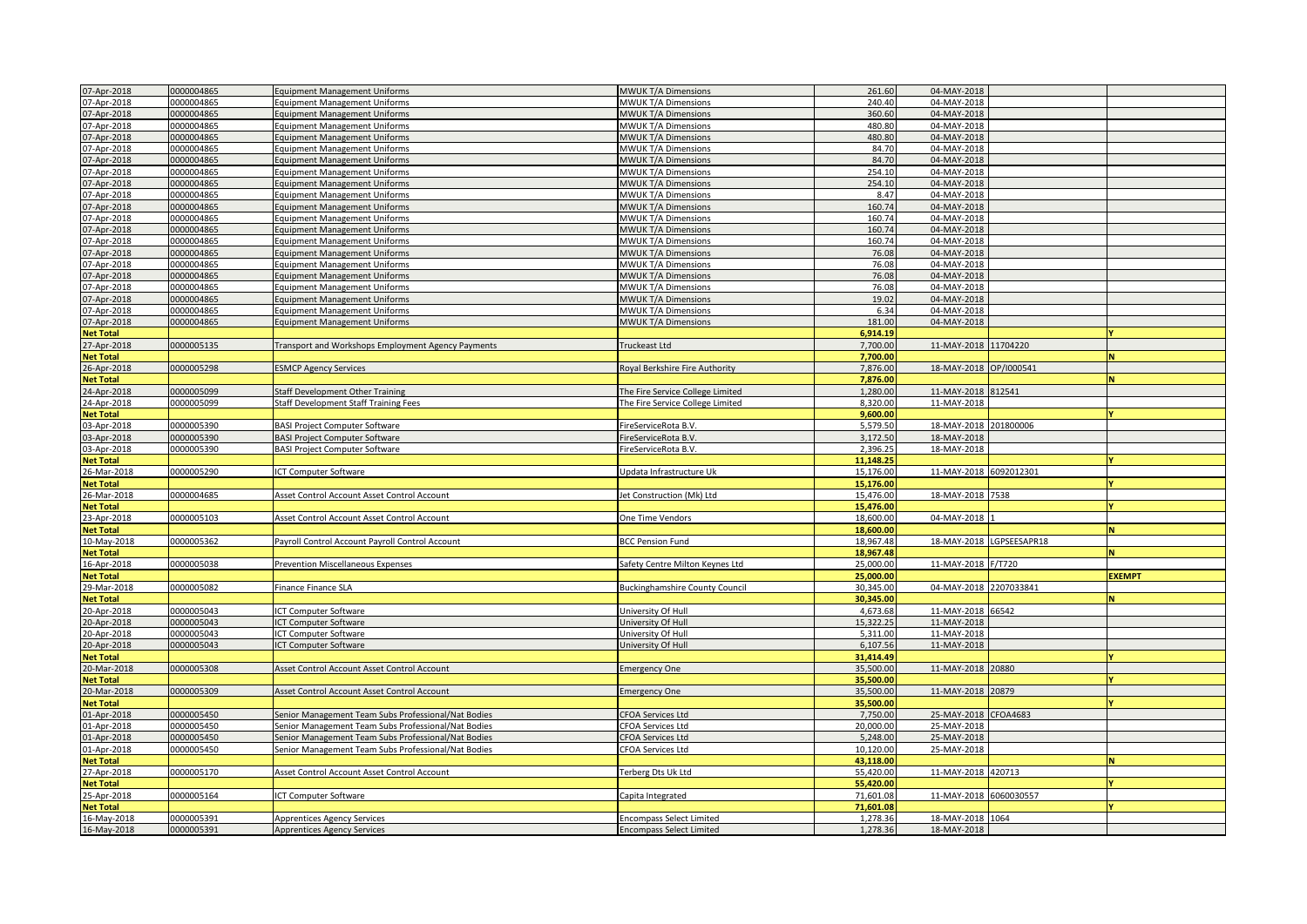| 07-Apr-2018      | 0000004865 | <b>Equipment Management Uniforms</b>                | <b>MWUK T/A Dimensions</b>            | 261.60    | 04-MAY-2018            |                          |               |
|------------------|------------|-----------------------------------------------------|---------------------------------------|-----------|------------------------|--------------------------|---------------|
|                  | 0000004865 |                                                     | <b>MWUK T/A Dimensions</b>            | 240.40    | 04-MAY-2018            |                          |               |
| 07-Apr-2018      |            | <b>Equipment Management Uniforms</b>                |                                       |           |                        |                          |               |
| 07-Apr-2018      | 0000004865 | <b>Equipment Management Uniforms</b>                | <b>MWUK T/A Dimensions</b>            | 360.60    | 04-MAY-2018            |                          |               |
| 07-Apr-2018      | 0000004865 | Equipment Management Uniforms                       | MWUK T/A Dimensions                   | 480.80    | 04-MAY-2018            |                          |               |
| 07-Apr-2018      | 0000004865 | <b>Equipment Management Uniforms</b>                | <b>MWUK T/A Dimensions</b>            | 480.80    | 04-MAY-2018            |                          |               |
| 07-Apr-2018      | 0000004865 | <b>Equipment Management Uniforms</b>                | <b>MWUK T/A Dimensions</b>            | 84.70     | 04-MAY-2018            |                          |               |
| 07-Apr-2018      | 0000004865 | <b>Equipment Management Uniforms</b>                | <b>MWUK T/A Dimensions</b>            | 84.70     | 04-MAY-2018            |                          |               |
|                  |            |                                                     |                                       |           |                        |                          |               |
| 07-Apr-2018      | 0000004865 | <b>Equipment Management Uniforms</b>                | <b>MWUK T/A Dimensions</b>            | 254.10    | 04-MAY-2018            |                          |               |
| 07-Apr-2018      | 0000004865 | <b>Equipment Management Uniforms</b>                | MWUK T/A Dimensions                   | 254.10    | 04-MAY-2018            |                          |               |
| 07-Apr-2018      | 0000004865 | <b>Equipment Management Uniforms</b>                | MWUK T/A Dimensions                   | 8.47      | 04-MAY-2018            |                          |               |
| 07-Apr-2018      | 0000004865 | <b>Equipment Management Uniforms</b>                | MWUK T/A Dimensions                   | 160.74    | 04-MAY-2018            |                          |               |
| 07-Apr-2018      | 0000004865 | <b>Equipment Management Uniforms</b>                | MWUK T/A Dimensions                   | 160.74    | 04-MAY-2018            |                          |               |
| 07-Apr-2018      | 0000004865 | Equipment Management Uniforms                       | MWUK T/A Dimensions                   | 160.74    | 04-MAY-2018            |                          |               |
|                  |            |                                                     |                                       |           |                        |                          |               |
| 07-Apr-2018      | 0000004865 | <b>Equipment Management Uniforms</b>                | MWUK T/A Dimensions                   | 160.74    | 04-MAY-2018            |                          |               |
| 07-Apr-2018      | 0000004865 | <b>Equipment Management Uniforms</b>                | <b>MWUK T/A Dimensions</b>            | 76.08     | 04-MAY-2018            |                          |               |
| 07-Apr-2018      | 0000004865 | <b>Equipment Management Uniforms</b>                | <b>MWUK T/A Dimensions</b>            | 76.08     | 04-MAY-2018            |                          |               |
| 07-Apr-2018      | 0000004865 | <b>Equipment Management Uniforms</b>                | MWUK T/A Dimensions                   | 76.08     | 04-MAY-2018            |                          |               |
| 07-Apr-2018      | 0000004865 | <b>Equipment Management Uniforms</b>                | <b>MWUK T/A Dimensions</b>            | 76.08     | 04-MAY-2018            |                          |               |
|                  | 0000004865 |                                                     |                                       | 19.02     | 04-MAY-2018            |                          |               |
| 07-Apr-2018      |            | Equipment Management Uniforms                       | MWUK T/A Dimensions                   |           |                        |                          |               |
| 07-Apr-2018      | 0000004865 | <b>Equipment Management Uniforms</b>                | MWUK T/A Dimensions                   | 6.34      | 04-MAY-2018            |                          |               |
| 07-Apr-2018      | 0000004865 | <b>Equipment Management Uniforms</b>                | <b>MWUK T/A Dimensions</b>            | 181.00    | 04-MAY-2018            |                          |               |
| <b>Net Total</b> |            |                                                     |                                       | 6,914.19  |                        |                          |               |
| 7-Apr-2018       | 0000005135 | Transport and Workshops Employment Agency Payments  | Truckeast Ltd                         | 7,700.00  | 11-MAY-2018 11704220   |                          |               |
| <b>Net Total</b> |            |                                                     |                                       | 7,700.00  |                        |                          |               |
|                  |            |                                                     |                                       |           |                        |                          |               |
| 26-Apr-2018      | 0000005298 | <b>ESMCP Agency Services</b>                        | Royal Berkshire Fire Authority        | 7,876.00  | 18-MAY-2018 OP/1000541 |                          |               |
| <b>Net Total</b> |            |                                                     |                                       | 7,876.00  |                        |                          |               |
| 24-Apr-2018      | 0000005099 | <b>Staff Development Other Training</b>             | The Fire Service College Limited      | 1,280.00  | 11-MAY-2018 812541     |                          |               |
| 24-Apr-2018      | 0000005099 | Staff Development Staff Training Fees               | The Fire Service College Limited      | 8,320.00  | 11-MAY-2018            |                          |               |
| <b>Net Total</b> |            |                                                     |                                       | 9,600.00  |                        |                          |               |
| 03-Apr-2018      | 0000005390 | <b>BASI Project Computer Software</b>               | FireServiceRota B.V.                  | 5,579.50  | 18-MAY-2018 201800006  |                          |               |
|                  |            |                                                     |                                       |           |                        |                          |               |
| 03-Apr-2018      | 0000005390 | <b>BASI Project Computer Software</b>               | FireServiceRota B.V                   | 3,172.50  | 18-MAY-2018            |                          |               |
| 03-Apr-2018      | 0000005390 | <b>BASI Project Computer Software</b>               | FireServiceRota B.V.                  | 2,396.25  | 18-MAY-2018            |                          |               |
| <b>Net Total</b> |            |                                                     |                                       | 11,148.25 |                        |                          |               |
| 26-Mar-2018      | 0000005290 | ICT Computer Software                               | Updata Infrastructure Uk              | 15,176.00 | 11-MAY-2018 6092012301 |                          |               |
| <b>Net Total</b> |            |                                                     |                                       | 15,176.00 |                        |                          |               |
| 6-Mar-2018       | 0000004685 | Asset Control Account Asset Control Account         | let Construction (Mk) Ltd             | 15,476.00 | 18-MAY-2018 7538       |                          |               |
|                  |            |                                                     |                                       |           |                        |                          |               |
| <b>Net Total</b> |            |                                                     |                                       | 15,476.00 |                        |                          |               |
| 23-Apr-2018      | 0000005103 | Asset Control Account Asset Control Account         | One Time Vendors                      | 18,600.00 | 04-MAY-2018            |                          |               |
| <b>Vet Total</b> |            |                                                     |                                       | 18,600.00 |                        |                          | M             |
| 10-May-2018      | 0000005362 | Payroll Control Account Payroll Control Account     | <b>BCC Pension Fund</b>               | 18,967.48 |                        | 18-MAY-2018 LGPSEESAPR18 |               |
| <b>Net Total</b> |            |                                                     |                                       | 18,967.48 |                        |                          | N             |
| 16-Apr-2018      | 0000005038 | Prevention Miscellaneous Expenses                   | Safety Centre Milton Keynes Ltd       | 25,000.00 | 11-MAY-2018 F/T720     |                          |               |
|                  |            |                                                     |                                       |           |                        |                          |               |
| <b>Net Total</b> |            |                                                     |                                       | 25,000.00 |                        |                          | <b>EXEMPT</b> |
| 29-Mar-2018      | 0000005082 | Finance Finance SLA                                 | <b>Buckinghamshire County Council</b> | 30,345.00 | 04-MAY-2018 2207033841 |                          |               |
| <b>Net Total</b> |            |                                                     |                                       | 30,345.00 |                        |                          | M             |
| 20-Apr-2018      | 0000005043 | ICT Computer Software                               | University Of Hull                    | 4,673.68  | 11-MAY-2018 66542      |                          |               |
| 20-Apr-2018      | 0000005043 | <b>ICT Computer Software</b>                        | University Of Hull                    | 15,322.25 | 11-MAY-2018            |                          |               |
| 20-Apr-2018      | 0000005043 | ICT Computer Software                               | University Of Hull                    | 5,311.00  | 11-MAY-2018            |                          |               |
|                  | 0000005043 |                                                     |                                       | 6,107.56  | 11-MAY-2018            |                          |               |
| 20-Apr-2018      |            | <b>CT Computer Software</b>                         | University Of Hull                    |           |                        |                          |               |
| <b>Net Total</b> |            |                                                     |                                       | 31,414.49 |                        |                          |               |
| 20-Mar-2018      | 0000005308 | Asset Control Account Asset Control Account         | <b>Emergency One</b>                  | 35,500.00 | 11-MAY-2018 20880      |                          |               |
| <b>Net Total</b> |            |                                                     |                                       | 35,500.00 |                        |                          |               |
| 20-Mar-2018      | 0000005309 | Asset Control Account Asset Control Account         | <b>Emergency One</b>                  | 35,500.00 | 11-MAY-2018 20879      |                          |               |
| <b>Net Total</b> |            |                                                     |                                       | 35,500.00 |                        |                          |               |
|                  |            |                                                     |                                       |           |                        |                          |               |
| 01-Apr-2018      | 0000005450 | Senior Management Team Subs Professional/Nat Bodies | <b>CFOA Services Ltd</b>              | 7,750.00  | 25-MAY-2018            | <b>CFOA4683</b>          |               |
| 01-Apr-2018      | 0000005450 | Senior Management Team Subs Professional/Nat Bodies | <b>CFOA Services Ltd</b>              | 20,000.00 | 25-MAY-2018            |                          |               |
| 01-Apr-2018      | 0000005450 | Senior Management Team Subs Professional/Nat Bodies | CFOA Services Ltd                     | 5,248.00  | 25-MAY-2018            |                          |               |
| 01-Apr-2018      | 0000005450 | Senior Management Team Subs Professional/Nat Bodies | CFOA Services Ltd                     | 10,120.00 | 25-MAY-2018            |                          |               |
| <b>Net Total</b> |            |                                                     |                                       | 43,118.00 |                        |                          |               |
| 27-Apr-2018      | 0000005170 | Asset Control Account Asset Control Account         | Ferberg Dts Uk Ltd                    | 55,420.00 | 11-MAY-2018 420713     |                          |               |
| <b>Net Total</b> |            |                                                     |                                       | 55,420.00 |                        |                          |               |
|                  |            |                                                     |                                       |           |                        |                          |               |
| 5-Apr-2018       | 0000005164 | <b>ICT Computer Software</b>                        | Capita Integrated                     | 71,601.08 | 11-MAY-2018 6060030557 |                          |               |
| <b>Net Total</b> |            |                                                     |                                       | 71,601.08 |                        |                          |               |
| 16-May-2018      | 0000005391 | <b>Apprentices Agency Services</b>                  | <b>Encompass Select Limited</b>       | 1,278.36  | 18-MAY-2018 1064       |                          |               |
| 16-May-2018      | 0000005391 | <b>Apprentices Agency Services</b>                  | <b>Encompass Select Limited</b>       | 1,278.36  | 18-MAY-2018            |                          |               |
|                  |            |                                                     |                                       |           |                        |                          |               |